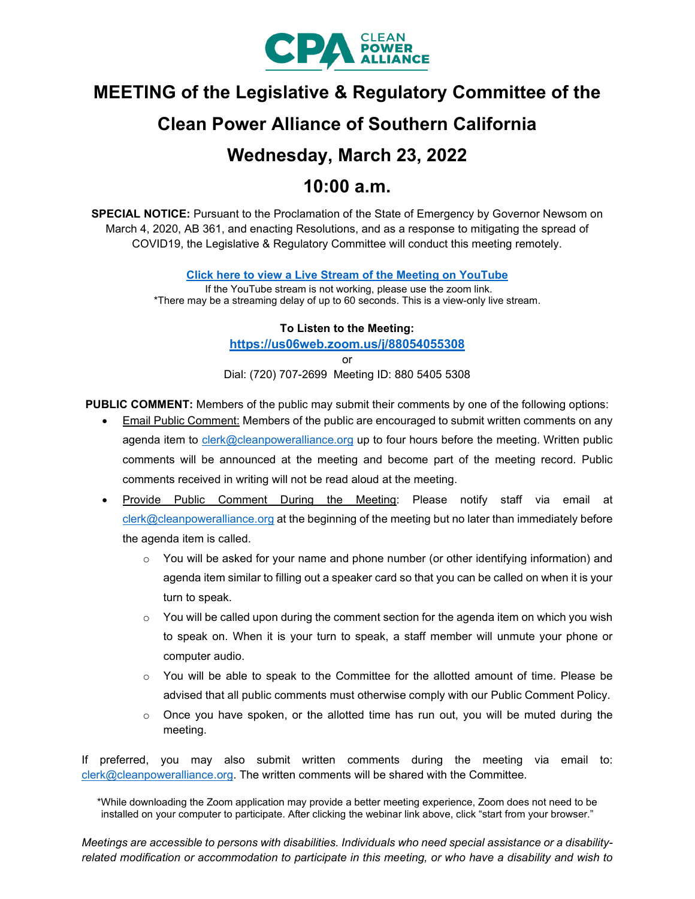

# **MEETING of the Legislative & Regulatory Committee of the**

# **Clean Power Alliance of Southern California**

# **Wednesday, March 23, 2022**

# **10:00 a.m.**

**SPECIAL NOTICE:** Pursuant to the Proclamation of the State of Emergency by Governor Newsom on March 4, 2020, AB 361, and enacting Resolutions, and as a response to mitigating the spread of COVID19, the Legislative & Regulatory Committee will conduct this meeting remotely.

**[Click here to view a Live Stream of the Meeting on YouTube](https://youtu.be/2rCFDIiW31k)**

If the YouTube stream is not working, please use the zoom link. \*There may be a streaming delay of up to 60 seconds. This is a view-only live stream.

#### **To Listen to the Meeting:**

**<https://us06web.zoom.us/j/88054055308>**

or

Dial: (720) 707-2699 Meeting ID: 880 5405 5308

**PUBLIC COMMENT:** Members of the public may submit their comments by one of the following options:

- Email Public Comment: Members of the public are encouraged to submit written comments on any agenda item to [clerk@cleanpoweralliance.org](mailto:clerk@cleanpoweralliance.org) up to four hours before the meeting. Written public comments will be announced at the meeting and become part of the meeting record. Public comments received in writing will not be read aloud at the meeting.
- Provide Public Comment During the Meeting: Please notify staff via email at [clerk@cleanpoweralliance.org](mailto:clerk@cleanpoweralliance.org) at the beginning of the meeting but no later than immediately before the agenda item is called.
	- $\circ$  You will be asked for your name and phone number (or other identifying information) and agenda item similar to filling out a speaker card so that you can be called on when it is your turn to speak.
	- $\circ$  You will be called upon during the comment section for the agenda item on which you wish to speak on. When it is your turn to speak, a staff member will unmute your phone or computer audio.
	- $\circ$  You will be able to speak to the Committee for the allotted amount of time. Please be advised that all public comments must otherwise comply with our Public Comment Policy.
	- $\circ$  Once you have spoken, or the allotted time has run out, you will be muted during the meeting.

If preferred, you may also submit written comments during the meeting via email to: [clerk@cleanpoweralliance.org.](mailto:clerk@cleanpoweralliance.org) The written comments will be shared with the Committee.

\*While downloading the Zoom application may provide a better meeting experience, Zoom does not need to be installed on your computer to participate. After clicking the webinar link above, click "start from your browser."

*Meetings are accessible to persons with disabilities. Individuals who need special assistance or a disabilityrelated modification or accommodation to participate in this meeting, or who have a disability and wish to*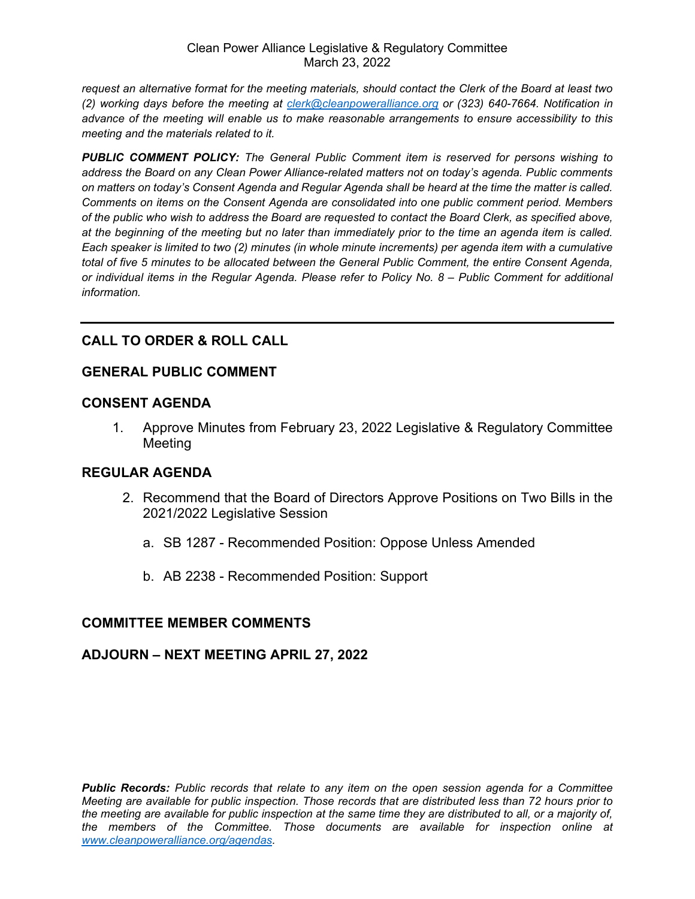*request an alternative format for the meeting materials, should contact the Clerk of the Board at least two (2) working days before the meeting at [clerk@cleanpoweralliance.org](mailto:clerk@cleanpoweralliance.org) or (323) 640-7664. Notification in advance of the meeting will enable us to make reasonable arrangements to ensure accessibility to this meeting and the materials related to it.*

*PUBLIC COMMENT POLICY: The General Public Comment item is reserved for persons wishing to address the Board on any Clean Power Alliance-related matters not on today's agenda. Public comments on matters on today's Consent Agenda and Regular Agenda shall be heard at the time the matter is called. Comments on items on the Consent Agenda are consolidated into one public comment period. Members of the public who wish to address the Board are requested to contact the Board Clerk, as specified above, at the beginning of the meeting but no later than immediately prior to the time an agenda item is called. Each speaker is limited to two (2) minutes (in whole minute increments) per agenda item with a cumulative total of five 5 minutes to be allocated between the General Public Comment, the entire Consent Agenda, or individual items in the Regular Agenda. Please refer to Policy No. 8 – Public Comment for additional information.*

# **CALL TO ORDER & ROLL CALL**

# **GENERAL PUBLIC COMMENT**

# **CONSENT AGENDA**

1. Approve Minutes from February 23, 2022 Legislative & Regulatory Committee Meeting

# **REGULAR AGENDA**

- 2. Recommend that the Board of Directors Approve Positions on Two Bills in the 2021/2022 Legislative Session
	- a. SB 1287 Recommended Position: Oppose Unless Amended
	- b. AB 2238 Recommended Position: Support

# **COMMITTEE MEMBER COMMENTS**

# **ADJOURN – NEXT MEETING APRIL 27, 2022**

*Public Records: Public records that relate to any item on the open session agenda for a Committee Meeting are available for public inspection. Those records that are distributed less than 72 hours prior to the meeting are available for public inspection at the same time they are distributed to all, or a majority of, the members of the Committee. Those documents are available for inspection online at [www.cleanpoweralliance.org/agendas.](http://www.cleanpoweralliance.org/agendas)*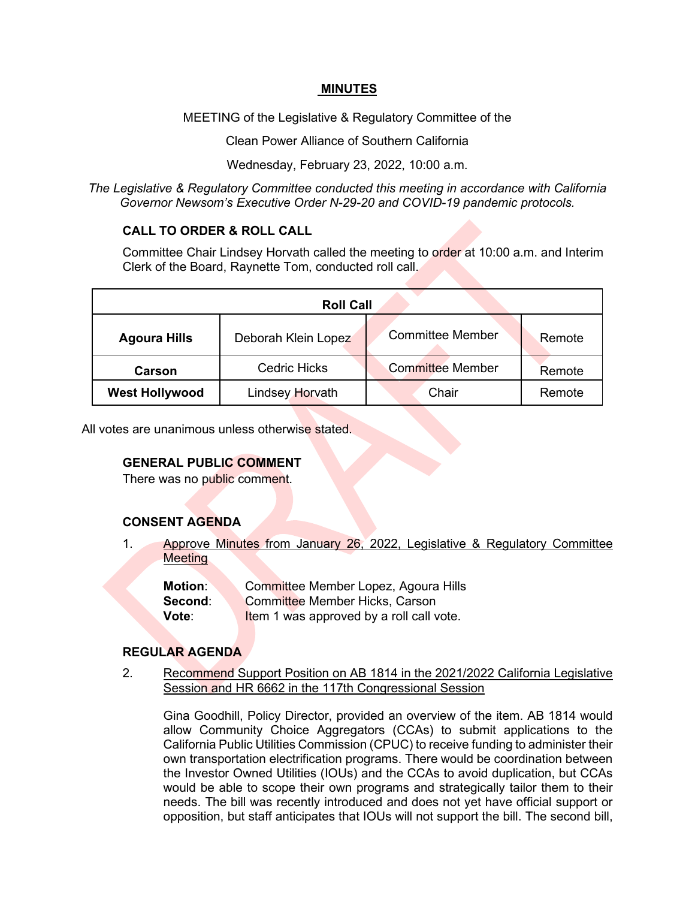#### **MINUTES**

MEETING of the Legislative & Regulatory Committee of the

Clean Power Alliance of Southern California

Wednesday, February 23, 2022, 10:00 a.m.

*The Legislative & Regulatory Committee conducted this meeting in accordance with California Governor Newsom's Executive Order N-29-20 and COVID-19 pandemic protocols.*

## **CALL TO ORDER & ROLL CALL**

Committee Chair Lindsey Horvath called the meeting to order at 10:00 a.m. and Interim Clerk of the Board, Raynette Tom, conducted roll call.

| <b>Roll Call</b>      |                     |                         |        |
|-----------------------|---------------------|-------------------------|--------|
| <b>Agoura Hills</b>   | Deborah Klein Lopez | <b>Committee Member</b> | Remote |
| Carson                | <b>Cedric Hicks</b> | <b>Committee Member</b> | Remote |
| <b>West Hollywood</b> | Lindsey Horvath     | Chair                   | Remote |

All votes are unanimous unless otherwise stated.

#### **GENERAL PUBLIC COMMENT**

There was no public comment.

# **CONSENT AGENDA**

1. Approve Minutes from January 26, 2022, Legislative & Regulatory Committee **Meeting** 

**Motion:** Committee Member Lopez, Agoura Hills **Second:** Committee Member Hicks, Carson

**Vote:** Item 1 was approved by a roll call vote.

#### **REGULAR AGENDA**

2. Recommend Support Position on AB 1814 in the 2021/2022 California Legislative Session and HR 6662 in the 117th Congressional Session

Gina Goodhill, Policy Director, provided an overview of the item. AB 1814 would allow Community Choice Aggregators (CCAs) to submit applications to the California Public Utilities Commission (CPUC) to receive funding to administer their own transportation electrification programs. There would be coordination between the Investor Owned Utilities (IOUs) and the CCAs to avoid duplication, but CCAs would be able to scope their own programs and strategically tailor them to their needs. The bill was recently introduced and does not yet have official support or opposition, but staff anticipates that IOUs will not support the bill. The second bill,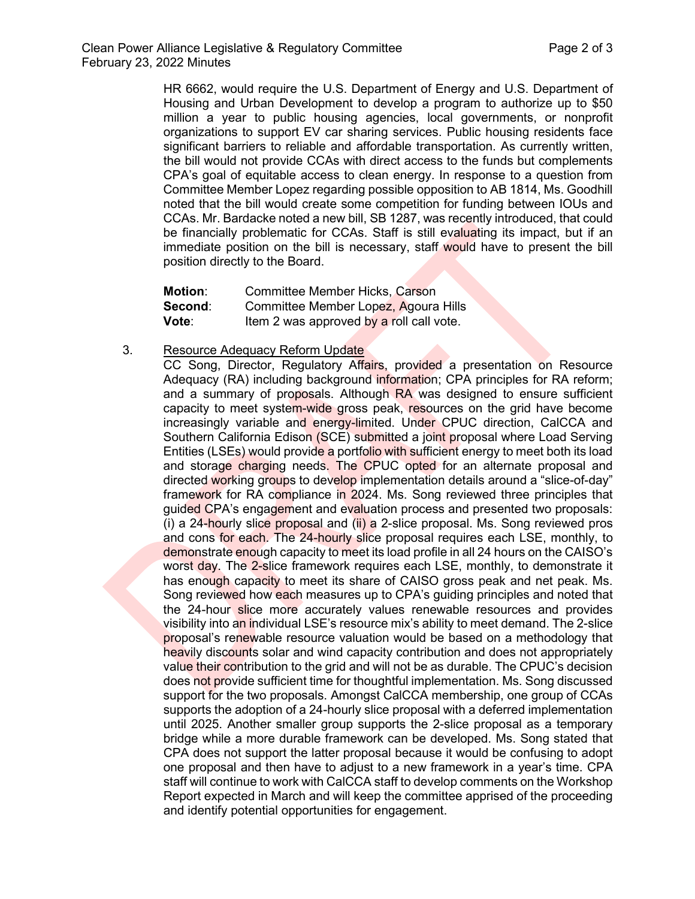HR 6662, would require the U.S. Department of Energy and U.S. Department of Housing and Urban Development to develop a program to authorize up to \$50 million a year to public housing agencies, local governments, or nonprofit organizations to support EV car sharing services. Public housing residents face significant barriers to reliable and affordable transportation. As currently written, the bill would not provide CCAs with direct access to the funds but complements CPA's goal of equitable access to clean energy. In response to a question from Committee Member Lopez regarding possible opposition to AB 1814, Ms. Goodhill noted that the bill would create some competition for funding between IOUs and CCAs. Mr. Bardacke noted a new bill, SB 1287, was recently introduced, that could be financially problematic for CCAs. Staff is still evaluating its impact, but if an immediate position on the bill is necessary, staff would have to present the bill position directly to the Board.

| <b>Motion:</b> | <b>Committee Member Hicks, Carson</b>    |
|----------------|------------------------------------------|
| Second:        | Committee Member Lopez, Agoura Hills     |
| Vote:          | Item 2 was approved by a roll call vote. |

3. Resource Adequacy Reform Update

CC Song, Director, Regulatory Affairs, provided a presentation on Resource Adequacy (RA) including background information; CPA principles for RA reform; and a summary of proposals. Although RA was designed to ensure sufficient capacity to meet system-wide gross peak, resources on the grid have become increasingly variable and energy-limited. Under CPUC direction, CalCCA and Southern California Edison (SCE) submitted a joint proposal where Load Serving Entities (LSEs) would provide a portfolio with sufficient energy to meet both its load and storage charging needs. The CPUC opted for an alternate proposal and directed working groups to develop implementation details around a "slice-of-day" framework for RA compliance in 2024. Ms. Song reviewed three principles that guided CPA's engagement and evaluation process and presented two proposals: (i) a 24-hourly slice proposal and (ii) a 2-slice proposal. Ms. Song reviewed pros and cons for each. The 24-hourly slice proposal requires each LSE, monthly, to demonstrate enough capacity to meet its load profile in all 24 hours on the CAISO's worst day. The 2-slice framework requires each LSE, monthly, to demonstrate it has enough capacity to meet its share of CAISO gross peak and net peak. Ms. Song reviewed how each measures up to CPA's guiding principles and noted that the 24-hour slice more accurately values renewable resources and provides visibility into an individual LSE's resource mix's ability to meet demand. The 2-slice proposal's renewable resource valuation would be based on a methodology that heavily discounts solar and wind capacity contribution and does not appropriately value their contribution to the grid and will not be as durable. The CPUC's decision does not provide sufficient time for thoughtful implementation. Ms. Song discussed support for the two proposals. Amongst CalCCA membership, one group of CCAs supports the adoption of a 24-hourly slice proposal with a deferred implementation until 2025. Another smaller group supports the 2-slice proposal as a temporary bridge while a more durable framework can be developed. Ms. Song stated that CPA does not support the latter proposal because it would be confusing to adopt one proposal and then have to adjust to a new framework in a year's time. CPA staff will continue to work with CalCCA staff to develop comments on the Workshop Report expected in March and will keep the committee apprised of the proceeding and identify potential opportunities for engagement.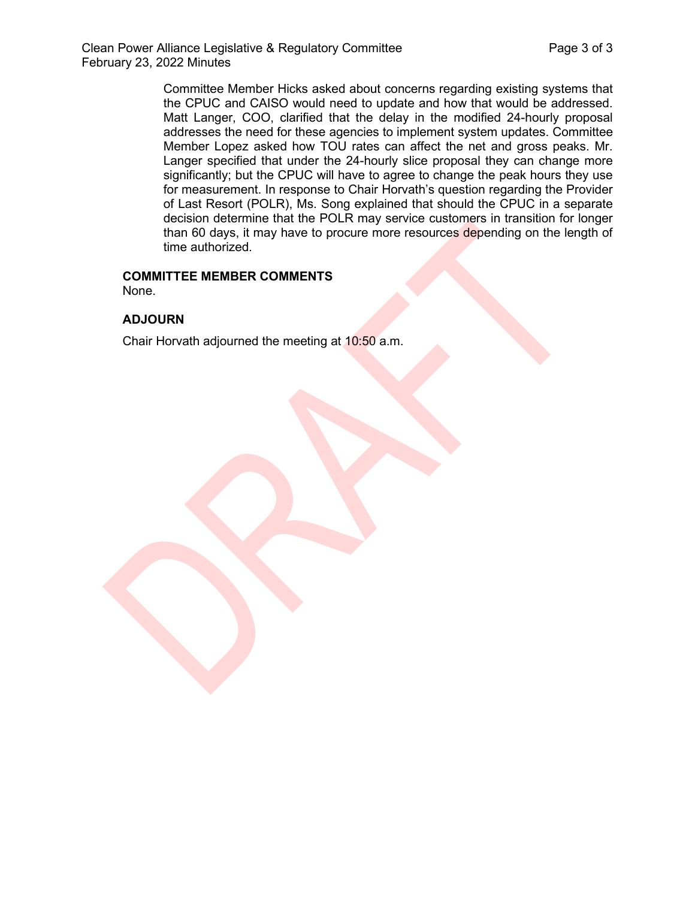Committee Member Hicks asked about concerns regarding existing systems that the CPUC and CAISO would need to update and how that would be addressed. Matt Langer, COO, clarified that the delay in the modified 24-hourly proposal addresses the need for these agencies to implement system updates. Committee Member Lopez asked how TOU rates can affect the net and gross peaks. Mr. Langer specified that under the 24-hourly slice proposal they can change more significantly; but the CPUC will have to agree to change the peak hours they use for measurement. In response to Chair Horvath's question regarding the Provider of Last Resort (POLR), Ms. Song explained that should the CPUC in a separate decision determine that the POLR may service customers in transition for longer than 60 days, it may have to procure more resources depending on the length of time authorized.

## **COMMITTEE MEMBER COMMENTS**

None.

## **ADJOURN**

Chair Horvath adjourned the meeting at 10:50 a.m.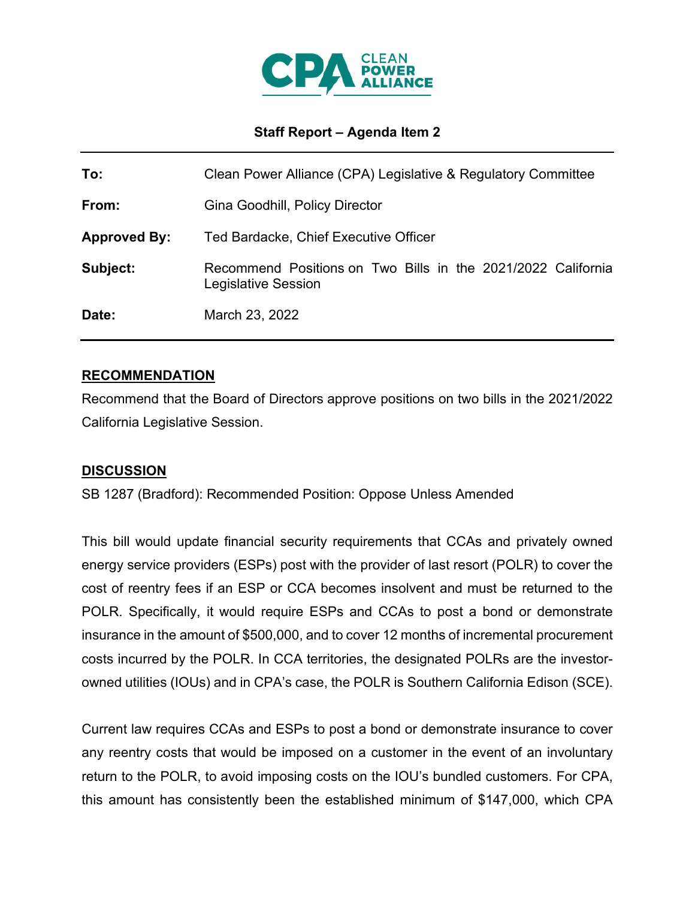

# **Staff Report – Agenda Item 2**

| To:                 | Clean Power Alliance (CPA) Legislative & Regulatory Committee                       |  |
|---------------------|-------------------------------------------------------------------------------------|--|
| From:               | Gina Goodhill, Policy Director                                                      |  |
| <b>Approved By:</b> | Ted Bardacke, Chief Executive Officer                                               |  |
| Subject:            | Recommend Positions on Two Bills in the 2021/2022 California<br>Legislative Session |  |
| Date:               | March 23, 2022                                                                      |  |

# **RECOMMENDATION**

Recommend that the Board of Directors approve positions on two bills in the 2021/2022 California Legislative Session.

# **DISCUSSION**

SB 1287 (Bradford): Recommended Position: Oppose Unless Amended

This bill would update financial security requirements that CCAs and privately owned energy service providers (ESPs) post with the provider of last resort (POLR) to cover the cost of reentry fees if an ESP or CCA becomes insolvent and must be returned to the POLR. Specifically, it would require ESPs and CCAs to post a bond or demonstrate insurance in the amount of \$500,000, and to cover 12 months of incremental procurement costs incurred by the POLR. In CCA territories, the designated POLRs are the investorowned utilities (IOUs) and in CPA's case, the POLR is Southern California Edison (SCE).

Current law requires CCAs and ESPs to post a bond or demonstrate insurance to cover any reentry costs that would be imposed on a customer in the event of an involuntary return to the POLR, to avoid imposing costs on the IOU's bundled customers. For CPA, this amount has consistently been the established minimum of \$147,000, which CPA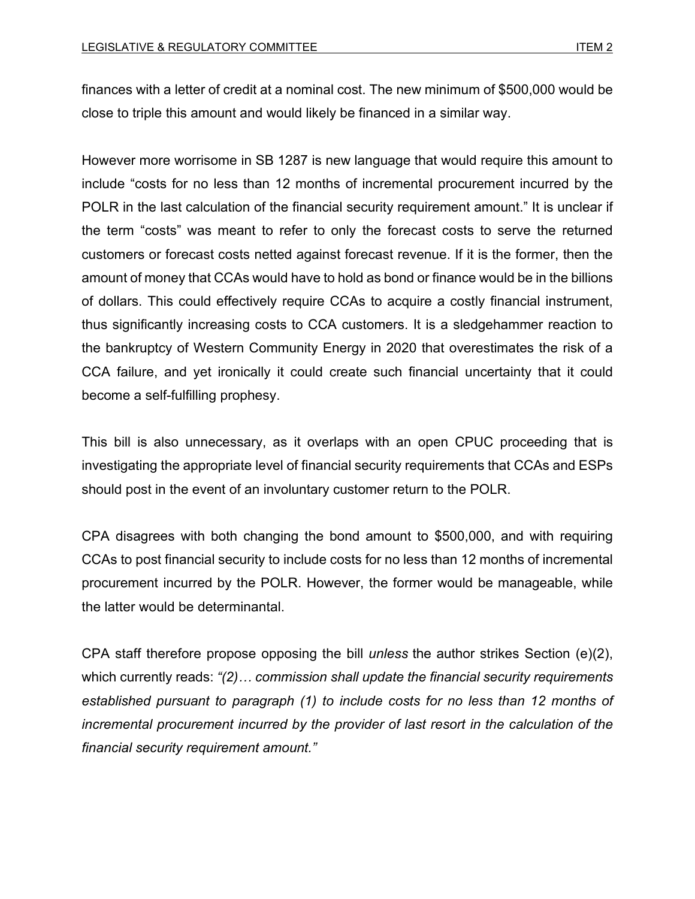finances with a letter of credit at a nominal cost. The new minimum of \$500,000 would be close to triple this amount and would likely be financed in a similar way.

However more worrisome in SB 1287 is new language that would require this amount to include "costs for no less than 12 months of incremental procurement incurred by the POLR in the last calculation of the financial security requirement amount." It is unclear if the term "costs" was meant to refer to only the forecast costs to serve the returned customers or forecast costs netted against forecast revenue. If it is the former, then the amount of money that CCAs would have to hold as bond or finance would be in the billions of dollars. This could effectively require CCAs to acquire a costly financial instrument, thus significantly increasing costs to CCA customers. It is a sledgehammer reaction to the bankruptcy of Western Community Energy in 2020 that overestimates the risk of a CCA failure, and yet ironically it could create such financial uncertainty that it could become a self-fulfilling prophesy.

This bill is also unnecessary, as it overlaps with an open CPUC proceeding that is investigating the appropriate level of financial security requirements that CCAs and ESPs should post in the event of an involuntary customer return to the POLR.

CPA disagrees with both changing the bond amount to \$500,000, and with requiring CCAs to post financial security to include costs for no less than 12 months of incremental procurement incurred by the POLR. However, the former would be manageable, while the latter would be determinantal.

CPA staff therefore propose opposing the bill *unless* the author strikes Section (e)(2), which currently reads: *"(2)… commission shall update the financial security requirements established pursuant to paragraph (1) to include costs for no less than 12 months of incremental procurement incurred by the provider of last resort in the calculation of the financial security requirement amount."*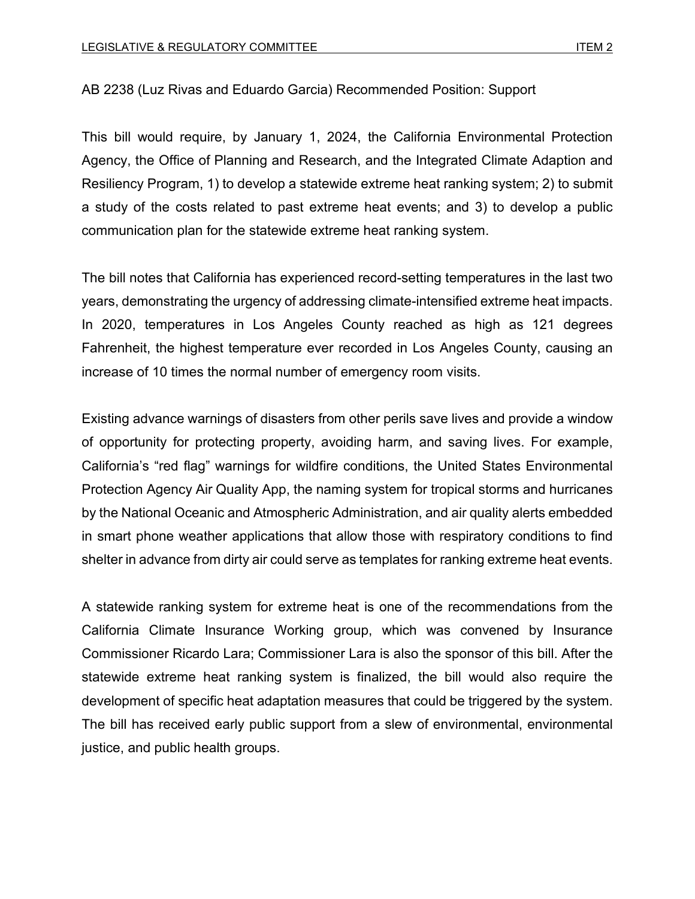## [AB](https://www.congress.gov/bill/117th-congress/house-bill/6662?s=1&r=1) 2238 (Luz Rivas and Eduardo Garcia) Recommended Position: Support

This bill would require, by January 1, 2024, the California Environmental Protection Agency, the Office of Planning and Research, and the Integrated Climate Adaption and Resiliency Program, 1) to develop a statewide extreme heat ranking system; 2) to submit a study of the costs related to past extreme heat events; and 3) to develop a public communication plan for the statewide extreme heat ranking system.

The bill notes that California has experienced record-setting temperatures in the last two years, demonstrating the urgency of addressing climate-intensified extreme heat impacts. In 2020, temperatures in Los Angeles County reached as high as 121 degrees Fahrenheit, the highest temperature ever recorded in Los Angeles County, causing an increase of 10 times the normal number of emergency room visits.

Existing advance warnings of disasters from other perils save lives and provide a window of opportunity for protecting property, avoiding harm, and saving lives. For example, California's "red flag" warnings for wildfire conditions, the United States Environmental Protection Agency Air Quality App, the naming system for tropical storms and hurricanes by the National Oceanic and Atmospheric Administration, and air quality alerts embedded in smart phone weather applications that allow those with respiratory conditions to find shelter in advance from dirty air could serve as templates for ranking extreme heat events.

A statewide ranking system for extreme heat is one of the recommendations from the California Climate Insurance Working group, which was convened by Insurance Commissioner Ricardo Lara; Commissioner Lara is also the sponsor of this bill. After the statewide extreme heat ranking system is finalized, the bill would also require the development of specific heat adaptation measures that could be triggered by the system. The bill has received early public support from a slew of environmental, environmental justice, and public health groups.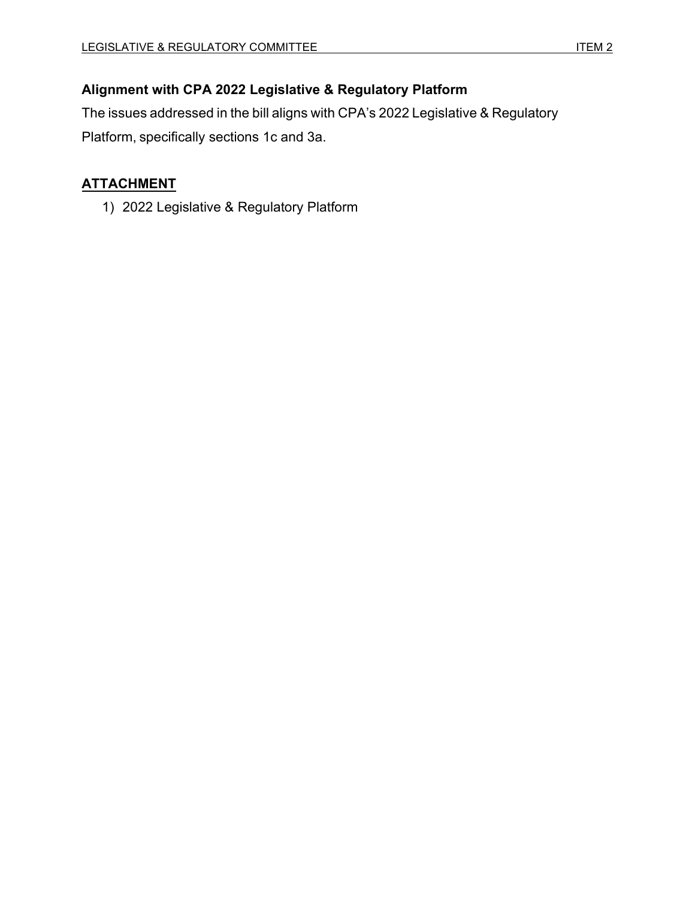# **Alignment with CPA 2022 Legislative & Regulatory Platform**

The issues addressed in the bill aligns with CPA's 2022 Legislative & Regulatory Platform, specifically sections 1c and 3a.

# **ATTACHMENT**

1) 2022 Legislative & Regulatory Platform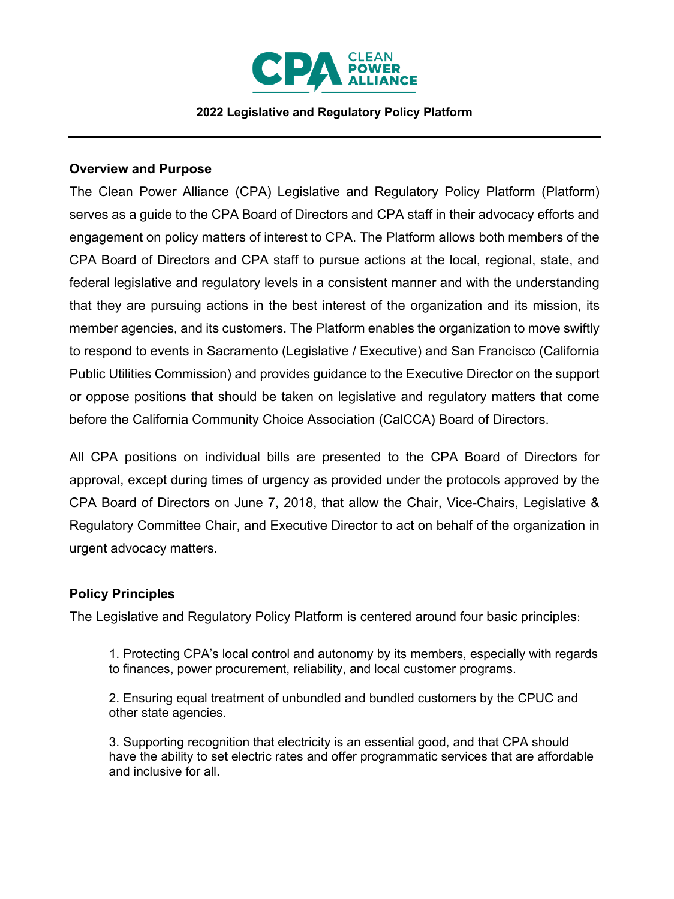

#### **2022 Legislative and Regulatory Policy Platform**

#### **Overview and Purpose**

The Clean Power Alliance (CPA) Legislative and Regulatory Policy Platform (Platform) serves as a guide to the CPA Board of Directors and CPA staff in their advocacy efforts and engagement on policy matters of interest to CPA. The Platform allows both members of the CPA Board of Directors and CPA staff to pursue actions at the local, regional, state, and federal legislative and regulatory levels in a consistent manner and with the understanding that they are pursuing actions in the best interest of the organization and its mission, its member agencies, and its customers. The Platform enables the organization to move swiftly to respond to events in Sacramento (Legislative / Executive) and San Francisco (California Public Utilities Commission) and provides guidance to the Executive Director on the support or oppose positions that should be taken on legislative and regulatory matters that come before the California Community Choice Association (CalCCA) Board of Directors.

All CPA positions on individual bills are presented to the CPA Board of Directors for approval, except during times of urgency as provided under the protocols approved by the CPA Board of Directors on June 7, 2018, that allow the Chair, Vice-Chairs, Legislative & Regulatory Committee Chair, and Executive Director to act on behalf of the organization in urgent advocacy matters.

## **Policy Principles**

The Legislative and Regulatory Policy Platform is centered around four basic principles:

1. Protecting CPA's local control and autonomy by its members, especially with regards to finances, power procurement, reliability, and local customer programs.

2. Ensuring equal treatment of unbundled and bundled customers by the CPUC and other state agencies.

3. Supporting recognition that electricity is an essential good, and that CPA should have the ability to set electric rates and offer programmatic services that are affordable and inclusive for all.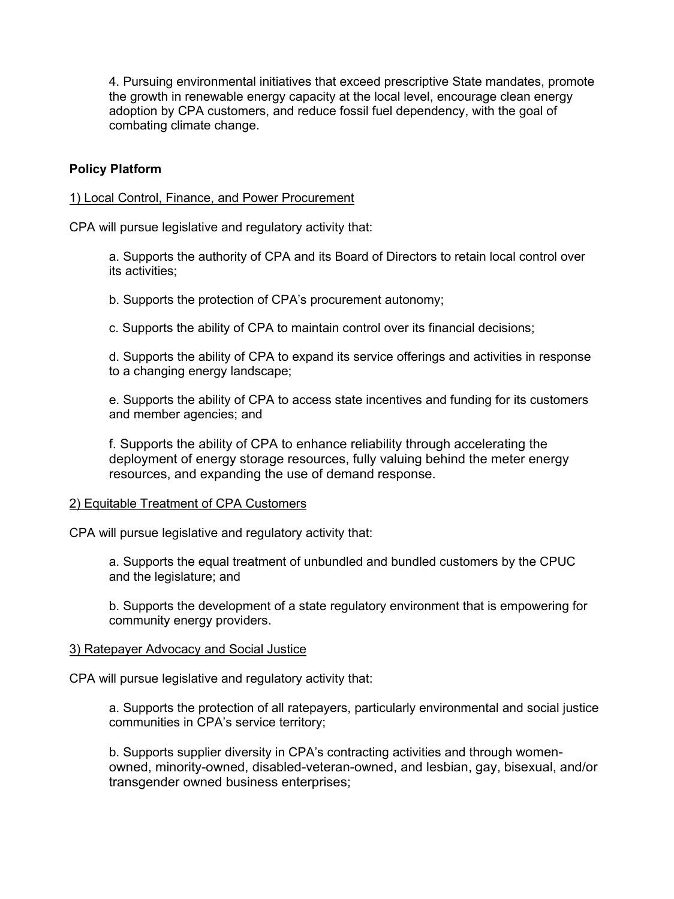4. Pursuing environmental initiatives that exceed prescriptive State mandates, promote the growth in renewable energy capacity at the local level, encourage clean energy adoption by CPA customers, and reduce fossil fuel dependency, with the goal of combating climate change.

## **Policy Platform**

#### 1) Local Control, Finance, and Power Procurement

CPA will pursue legislative and regulatory activity that:

a. Supports the authority of CPA and its Board of Directors to retain local control over its activities;

b. Supports the protection of CPA's procurement autonomy;

c. Supports the ability of CPA to maintain control over its financial decisions;

d. Supports the ability of CPA to expand its service offerings and activities in response to a changing energy landscape;

e. Supports the ability of CPA to access state incentives and funding for its customers and member agencies; and

f. Supports the ability of CPA to enhance reliability through accelerating the deployment of energy storage resources, fully valuing behind the meter energy resources, and expanding the use of demand response.

#### 2) Equitable Treatment of CPA Customers

CPA will pursue legislative and regulatory activity that:

a. Supports the equal treatment of unbundled and bundled customers by the CPUC and the legislature; and

b. Supports the development of a state regulatory environment that is empowering for community energy providers.

#### 3) Ratepayer Advocacy and Social Justice

CPA will pursue legislative and regulatory activity that:

a. Supports the protection of all ratepayers, particularly environmental and social justice communities in CPA's service territory;

b. Supports supplier diversity in CPA's contracting activities and through womenowned, minority-owned, disabled-veteran-owned, and lesbian, gay, bisexual, and/or transgender owned business enterprises;